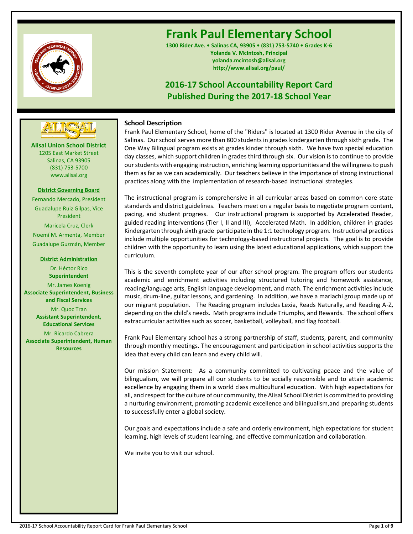

# **Frank Paul Elementary School**

**1300 Rider Ave. • Salinas CA, 93905 • (831) 753-5740 • Grades K-6 Yolanda V. McIntosh, Principal yolanda.mcintosh@alisal.org http://www.alisal.org/paul/**

## **2016-17 School Accountability Report Card Published During the 2017-18 School Year**



**Alisal Union School District** 1205 East Market Street Salinas, CA 93905 (831) 753-5700 www.alisal.org

## **District Governing Board**

Fernando Mercado, President Guadalupe Ruiz Gilpas, Vice President Maricela Cruz, Clerk Noemí M. Armenta, Member Guadalupe Guzmán, Member

### **District Administration**

Dr. Héctor Rico **Superintendent**

Mr. James Koenig **Associate Superintendent, Business and Fiscal Services**

> Mr. Quoc Tran **Assistant Superintendent, Educational Services**

Mr. Ricardo Cabrera **Associate Superintendent, Human Resources**

## **School Description**

Frank Paul Elementary School, home of the "Riders" is located at 1300 Rider Avenue in the city of Salinas. Our school serves more than 800 students in grades kindergarten through sixth grade. The One Way Bilingual program exists at grades kinder through sixth. We have two special education day classes, which support children in grades third through six. Our vision is to continue to provide our students with engaging instruction, enriching learning opportunities and the willingness to push them as far as we can academically. Our teachers believe in the importance of strong instructional practices along with the implementation of research-based instructional strategies.

The instructional program is comprehensive in all curricular areas based on common core state standards and district guidelines. Teachers meet on a regular basis to negotiate program content, pacing, and student progress. Our instructional program is supported by Accelerated Reader, guided reading interventions (Tier I, II and III), Accelerated Math. In addition, children in grades Kindergarten through sixth grade participate in the 1:1 technology program. Instructional practices include multiple opportunities for technology-based instructional projects. The goal is to provide children with the opportunity to learn using the latest educational applications, which support the curriculum.

This is the seventh complete year of our after school program. The program offers our students academic and enrichment activities including structured tutoring and homework assistance, reading/language arts, English language development, and math. The enrichment activities include music, drum-line, guitar lessons, and gardening. In addition, we have a mariachi group made up of our migrant population. The Reading program includes Lexia, Reads Naturally, and Reading A-Z, depending on the child's needs. Math programs include Triumphs, and Rewards. The school offers extracurricular activities such as soccer, basketball, volleyball, and flag football.

Frank Paul Elementary school has a strong partnership of staff, students, parent, and community through monthly meetings. The encouragement and participation in school activities supports the idea that every child can learn and every child will.

Our mission Statement: As a community committed to cultivating peace and the value of bilingualism, we will prepare all our students to be socially responsible and to attain academic excellence by engaging them in a world class multicultural education. With high expectations for all, and respect for the culture of our community, the Alisal School District is committed to providing a nurturing environment, promoting academic excellence and bilingualism,and preparing students to successfully enter a global society.

Our goals and expectations include a safe and orderly environment, high expectations for student learning, high levels of student learning, and effective communication and collaboration.

We invite you to visit our school.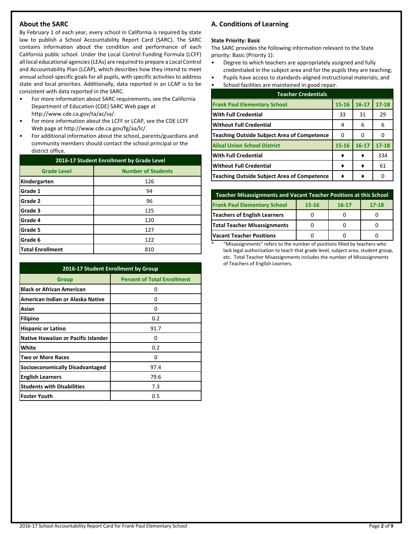## **About the SARC**

By February 1 of each year, every school in California is required by state law to publish a School Accountability Report Card (SARC). The SARC contains information about the condition and performance of each California public school. Under the Local Control Funding Formula (LCFF) all local educational agencies (LEAs) are required to prepare a Local Control and Accountability Plan (LCAP), which describes how they intend to meet annual school-specific goals for all pupils, with specific activities to address state and local priorities. Additionally, data reported in an LCAP is to be consistent with data reported in the SARC.

- For more information about SARC requirements, see the California Department of Education (CDE) SARC Web page at http://www.cde.ca.gov/ta/ac/sa/.
- For more information about the LCFF or LCAP, see the CDE LCFF Web page at http://www.cde.ca.gov/fg/aa/lc/.
- For additional information about the school, parents/guardians and community members should contact the school principal or the district office.

| 2016-17 Student Enrollment by Grade Level |                           |  |  |
|-------------------------------------------|---------------------------|--|--|
| <b>Grade Level</b>                        | <b>Number of Students</b> |  |  |
| Kindergarten                              | 126                       |  |  |
| Grade 1                                   | 94                        |  |  |
| Grade 2                                   | 96                        |  |  |
| Grade 3                                   | 125                       |  |  |
| Grade 4                                   | 120                       |  |  |
| Grade 5                                   | 127                       |  |  |
| Grade 6                                   | 122                       |  |  |
| <b>Total Enrollment</b>                   | 810                       |  |  |

| 2016-17 Student Enrollment by Group        |                                    |  |  |  |
|--------------------------------------------|------------------------------------|--|--|--|
| Group                                      | <b>Percent of Total Enrollment</b> |  |  |  |
| <b>Black or African American</b>           | 0                                  |  |  |  |
| American Indian or Alaska Native           | 0                                  |  |  |  |
| Asian                                      | O                                  |  |  |  |
| Filipino                                   | 0.2                                |  |  |  |
| <b>Hispanic or Latino</b>                  | 91.7                               |  |  |  |
| <b>Native Hawaiian or Pacific Islander</b> | 0                                  |  |  |  |
| White                                      | 0.2                                |  |  |  |
| <b>Two or More Races</b>                   | 0                                  |  |  |  |
| Socioeconomically Disadvantaged            | 97.4                               |  |  |  |
| <b>English Learners</b>                    | 79.6                               |  |  |  |
| <b>Students with Disabilities</b>          | 7.3                                |  |  |  |
| <b>Foster Youth</b>                        | 0.5                                |  |  |  |

## **A. Conditions of Learning**

#### **State Priority: Basic**

The SARC provides the following information relevant to the State priority: Basic (Priority 1):

- Degree to which teachers are appropriately assigned and fully credentialed in the subject area and for the pupils they are teaching;
- Pupils have access to standards-aligned instructional materials; and
- School facilities are maintained in good repair.

| <b>Teacher Credentials</b>                         |           |           |           |  |  |  |
|----------------------------------------------------|-----------|-----------|-----------|--|--|--|
| <b>Frank Paul Elementary School</b>                | $15 - 16$ | $16 - 17$ | $17 - 18$ |  |  |  |
| <b>With Full Credential</b>                        | 33        | 31        | 29        |  |  |  |
| <b>Without Full Credential</b>                     | 4         | 6         | 6         |  |  |  |
| <b>Teaching Outside Subject Area of Competence</b> | 0         | O         |           |  |  |  |
| <b>Alisal Union School District</b>                | $15 - 16$ | $16 - 17$ | $17 - 18$ |  |  |  |
| <b>With Full Credential</b>                        |           |           | 334       |  |  |  |
| <b>Without Full Credential</b>                     |           |           | 61        |  |  |  |
| <b>Teaching Outside Subject Area of Competence</b> |           |           |           |  |  |  |

| Teacher Misassignments and Vacant Teacher Positions at this School     |  |  |  |  |  |  |  |
|------------------------------------------------------------------------|--|--|--|--|--|--|--|
| <b>Frank Paul Elementary School</b><br>$17 - 18$<br>15-16<br>$16 - 17$ |  |  |  |  |  |  |  |
| <b>Teachers of English Learners</b>                                    |  |  |  |  |  |  |  |
| Total Teacher Misassignments                                           |  |  |  |  |  |  |  |
| <b>Vacant Teacher Positions</b>                                        |  |  |  |  |  |  |  |

\* "Misassignments" refers to the number of positions filled by teachers who lack legal authorization to teach that grade level, subject area, student group, etc. Total Teacher Misassignments includes the number of Misassignments of Teachers of English Learners.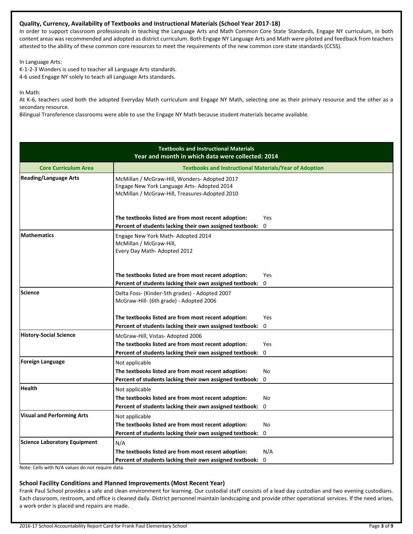## **Quality, Currency, Availability of Textbooks and Instructional Materials (School Year 2017-18)**

In order to support classroom professionals in teaching the Language Arts and Math Common Core State Standards, Engage NY curriculum, in both content areas was recommended and adopted as district curriculum. Both Engage NY Language Arts and Math were piloted and feedback from teachers attested to the ability of these common core resources to meet the requirements of the new common core state standards (CCSS).

In Language Arts:

K-1-2-3 Wonders is used to teacher all Language Arts standards. 4-6 used Engage NY solely to teach all Language Arts standards.

In Math:

At K-6, teachers used both the adopted Everyday Math curriculum and Engage NY Math, selecting one as their primary resource and the other as a secondary resource.

Bilingual Transference classrooms were able to use the Engage NY Math because student materials became available.

|                                     | <b>Textbooks and Instructional Materials</b><br>Year and month in which data were collected: 2014                                              |                                                               |  |  |  |  |  |
|-------------------------------------|------------------------------------------------------------------------------------------------------------------------------------------------|---------------------------------------------------------------|--|--|--|--|--|
| <b>Core Curriculum Area</b>         |                                                                                                                                                | <b>Textbooks and Instructional Materials/Year of Adoption</b> |  |  |  |  |  |
| <b>Reading/Language Arts</b>        | McMillan / McGraw-Hill, Wonders- Adopted 2017<br>Engage New York Language Arts- Adopted 2014<br>McMillan / McGraw-Hill, Treasures-Adopted 2010 |                                                               |  |  |  |  |  |
|                                     | The textbooks listed are from most recent adoption:                                                                                            | Yes                                                           |  |  |  |  |  |
|                                     | Percent of students lacking their own assigned textbook:                                                                                       | 0                                                             |  |  |  |  |  |
| <b>Mathematics</b>                  | Engage New York Math-Adopted 2014<br>McMillan / McGraw-Hill,<br>Every Day Math- Adopted 2012                                                   |                                                               |  |  |  |  |  |
|                                     | The textbooks listed are from most recent adoption:                                                                                            | Yes                                                           |  |  |  |  |  |
|                                     | Percent of students lacking their own assigned textbook:                                                                                       | 0                                                             |  |  |  |  |  |
| Science                             | Delta Foss- (Kinder-5th grades) - Adopted 2007<br>McGraw-Hill- (6th grade) - Adopted 2006                                                      |                                                               |  |  |  |  |  |
|                                     | The textbooks listed are from most recent adoption:                                                                                            | Yes                                                           |  |  |  |  |  |
|                                     | Percent of students lacking their own assigned textbook:                                                                                       | $\mathbf 0$                                                   |  |  |  |  |  |
| <b>History-Social Science</b>       | McGraw-Hill, Vistas-Adopted 2006                                                                                                               |                                                               |  |  |  |  |  |
|                                     | The textbooks listed are from most recent adoption:                                                                                            | Yes                                                           |  |  |  |  |  |
|                                     | Percent of students lacking their own assigned textbook:                                                                                       | $\mathbf 0$                                                   |  |  |  |  |  |
| <b>Foreign Language</b>             | Not applicable                                                                                                                                 |                                                               |  |  |  |  |  |
|                                     | The textbooks listed are from most recent adoption:                                                                                            | No                                                            |  |  |  |  |  |
|                                     | Percent of students lacking their own assigned textbook:                                                                                       | 0                                                             |  |  |  |  |  |
| <b>Health</b>                       | Not applicable                                                                                                                                 |                                                               |  |  |  |  |  |
|                                     | The textbooks listed are from most recent adoption:                                                                                            | No                                                            |  |  |  |  |  |
|                                     | Percent of students lacking their own assigned textbook:                                                                                       | $\Omega$                                                      |  |  |  |  |  |
| <b>Visual and Performing Arts</b>   | Not applicable                                                                                                                                 |                                                               |  |  |  |  |  |
|                                     | The textbooks listed are from most recent adoption:                                                                                            | No                                                            |  |  |  |  |  |
|                                     | Percent of students lacking their own assigned textbook:                                                                                       | 0                                                             |  |  |  |  |  |
| <b>Science Laboratory Equipment</b> | N/A                                                                                                                                            |                                                               |  |  |  |  |  |
|                                     | The textbooks listed are from most recent adoption:                                                                                            | N/A                                                           |  |  |  |  |  |
|                                     | Percent of students lacking their own assigned textbook:                                                                                       | 0                                                             |  |  |  |  |  |

Note: Cells with N/A values do not require data.

## **School Facility Conditions and Planned Improvements (Most Recent Year)**

Frank Paul School provides a safe and clean environment for learning. Our custodial staff consists of a lead day custodian and two evening custodians. Each classroom, restroom, and office is cleaned daily. District personnel maintain landscaping and provide other operational services. If the need arises, a work order is placed and repairs are made.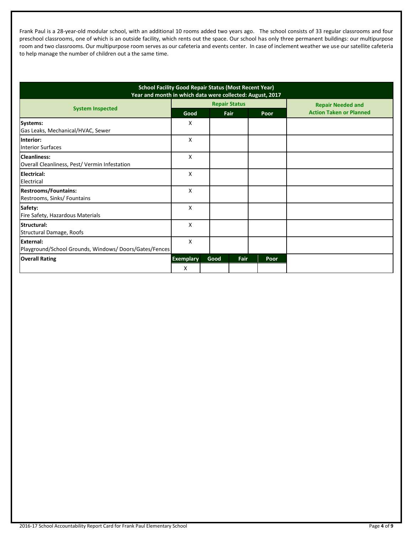Frank Paul is a 28-year-old modular school, with an additional 10 rooms added two years ago. The school consists of 33 regular classrooms and four preschool classrooms, one of which is an outside facility, which rents out the space. Our school has only three permanent buildings: our multipurpose room and two classrooms. Our multipurpose room serves as our cafeteria and events center. In case of inclement weather we use our satellite cafeteria to help manage the number of children out a the same time.

| <b>School Facility Good Repair Status (Most Recent Year)</b><br>Year and month in which data were collected: August, 2017 |                      |      |      |      |                                |
|---------------------------------------------------------------------------------------------------------------------------|----------------------|------|------|------|--------------------------------|
| <b>System Inspected</b>                                                                                                   | <b>Repair Status</b> |      |      |      | <b>Repair Needed and</b>       |
|                                                                                                                           | Good                 |      | Fair | Poor | <b>Action Taken or Planned</b> |
| Systems:                                                                                                                  | x                    |      |      |      |                                |
| Gas Leaks, Mechanical/HVAC, Sewer                                                                                         |                      |      |      |      |                                |
| Interior:<br><b>Interior Surfaces</b>                                                                                     | X                    |      |      |      |                                |
| <b>Cleanliness:</b><br>Overall Cleanliness, Pest/ Vermin Infestation                                                      | X                    |      |      |      |                                |
| Electrical:<br>Electrical                                                                                                 | X                    |      |      |      |                                |
| <b>Restrooms/Fountains:</b><br>Restrooms, Sinks/ Fountains                                                                | X                    |      |      |      |                                |
| Safety:<br>Fire Safety, Hazardous Materials                                                                               | X                    |      |      |      |                                |
| Structural:<br>Structural Damage, Roofs                                                                                   | X                    |      |      |      |                                |
| <b>External:</b><br>Playground/School Grounds, Windows/Doors/Gates/Fences                                                 | X                    |      |      |      |                                |
| <b>Overall Rating</b>                                                                                                     | <b>Exemplary</b>     | Good | Fair | Poor |                                |
|                                                                                                                           | X                    |      |      |      |                                |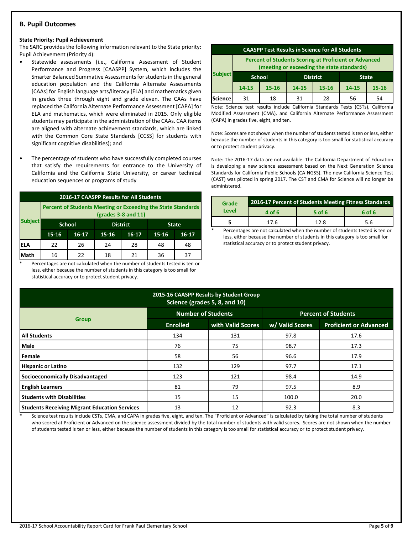## **B. Pupil Outcomes**

#### **State Priority: Pupil Achievement**

The SARC provides the following information relevant to the State priority: Pupil Achievement (Priority 4):

- Statewide assessments (i.e., California Assessment of Student Performance and Progress [CAASPP] System, which includes the Smarter Balanced Summative Assessments for students in the general education population and the California Alternate Assessments [CAAs] for English language arts/literacy [ELA] and mathematics given in grades three through eight and grade eleven. The CAAs have replaced the California Alternate Performance Assessment [CAPA] for ELA and mathematics, which were eliminated in 2015. Only eligible students may participate in the administration of the CAAs. CAA items are aligned with alternate achievement standards, which are linked with the Common Core State Standards [CCSS] for students with significant cognitive disabilities); and
- The percentage of students who have successfully completed courses that satisfy the requirements for entrance to the University of California and the California State University, or career technical education sequences or programs of study

| 2016-17 CAASPP Results for All Students |                                                                                       |                                  |    |    |              |           |  |
|-----------------------------------------|---------------------------------------------------------------------------------------|----------------------------------|----|----|--------------|-----------|--|
|                                         | Percent of Students Meeting or Exceeding the State Standards<br>$(grades 3-8 and 11)$ |                                  |    |    |              |           |  |
| <b>Subject</b>                          |                                                                                       | <b>School</b><br><b>District</b> |    |    | <b>State</b> |           |  |
|                                         | $15 - 16$<br>$16 - 17$<br>$16 - 17$<br>15-16                                          |                                  |    |    |              | $16 - 17$ |  |
| IELA                                    | 22                                                                                    | 26                               | 24 | 28 | 48           | 48        |  |
| Math                                    | 16                                                                                    | 22                               | 18 | 21 | 36           | 37        |  |

Percentages are not calculated when the number of students tested is ten or less, either because the number of students in this category is too small for statistical accuracy or to protect student privacy.

| <b>CAASPP Test Results in Science for All Students</b>                                                     |                                                  |           |                                          |    |    |    |
|------------------------------------------------------------------------------------------------------------|--------------------------------------------------|-----------|------------------------------------------|----|----|----|
| <b>Percent of Students Scoring at Proficient or Advanced</b><br>(meeting or exceeding the state standards) |                                                  |           |                                          |    |    |    |
| <b>Subject</b>                                                                                             | <b>School</b><br><b>District</b><br><b>State</b> |           |                                          |    |    |    |
|                                                                                                            | $14 - 15$                                        | $15 - 16$ | 14-15<br>$15 - 16$<br>$15 - 16$<br>14-15 |    |    |    |
| Science                                                                                                    | 31                                               | 18        | 31                                       | 28 | 56 | 54 |

Note: Science test results include California Standards Tests (CSTs), California Modified Assessment (CMA), and California Alternate Performance Assessment (CAPA) in grades five, eight, and ten.

Note: Scores are not shown when the number of students tested is ten or less, either because the number of students in this category is too small for statistical accuracy or to protect student privacy.

Note: The 2016-17 data are not available. The California Department of Education is developing a new science assessment based on the Next Generation Science Standards for California Public Schools (CA NGSS). The new California Science Test (CAST) was piloted in spring 2017. The CST and CMA for Science will no longer be administered.

| Grade | <b>2016-17 Percent of Students Meeting Fitness Standards</b> |        |        |  |  |
|-------|--------------------------------------------------------------|--------|--------|--|--|
| Level | 4 of 6                                                       | 5 of 6 | 6 of 6 |  |  |
|       | 17.6                                                         | 12.8   | 5.6    |  |  |
|       |                                                              | $\sim$ | $\sim$ |  |  |

Percentages are not calculated when the number of students tested is ten or less, either because the number of students in this category is too small for statistical accuracy or to protect student privacy.

| 2015-16 CAASPP Results by Student Group<br>Science (grades 5, 8, and 10) |                           |                   |                            |                               |  |  |  |
|--------------------------------------------------------------------------|---------------------------|-------------------|----------------------------|-------------------------------|--|--|--|
|                                                                          | <b>Number of Students</b> |                   | <b>Percent of Students</b> |                               |  |  |  |
| <b>Group</b>                                                             | <b>Enrolled</b>           | with Valid Scores | w/ Valid Scores            | <b>Proficient or Advanced</b> |  |  |  |
| <b>All Students</b>                                                      | 134                       | 131               | 97.8                       | 17.6                          |  |  |  |
| <b>Male</b>                                                              | 76                        | 75                | 98.7                       | 17.3                          |  |  |  |
| Female                                                                   | 58                        | 56                | 96.6                       | 17.9                          |  |  |  |
| <b>Hispanic or Latino</b>                                                | 132                       | 129               | 97.7                       | 17.1                          |  |  |  |
| Socioeconomically Disadvantaged                                          | 123                       | 121               | 98.4                       | 14.9                          |  |  |  |
| <b>English Learners</b>                                                  | 81                        | 79                | 97.5                       | 8.9                           |  |  |  |
| <b>Students with Disabilities</b>                                        | 15                        | 15                | 100.0                      | 20.0                          |  |  |  |
| <b>Students Receiving Migrant Education Services</b>                     | 13                        | 12                | 92.3                       | 8.3                           |  |  |  |

Science test results include CSTs, CMA, and CAPA in grades five, eight, and ten. The "Proficient or Advanced" is calculated by taking the total number of students who scored at Proficient or Advanced on the science assessment divided by the total number of students with valid scores. Scores are not shown when the number of students tested is ten or less, either because the number of students in this category is too small for statistical accuracy or to protect student privacy.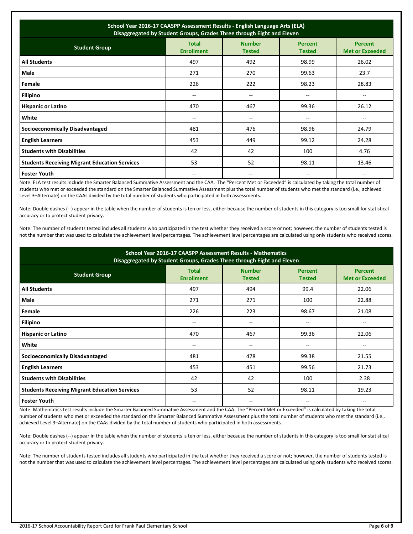| School Year 2016-17 CAASPP Assessment Results - English Language Arts (ELA)<br>Disaggregated by Student Groups, Grades Three through Eight and Eleven |                                       |                                |                                 |                                          |  |  |
|-------------------------------------------------------------------------------------------------------------------------------------------------------|---------------------------------------|--------------------------------|---------------------------------|------------------------------------------|--|--|
| <b>Student Group</b>                                                                                                                                  | <b>Total</b><br><b>Enrollment</b>     | <b>Number</b><br><b>Tested</b> | <b>Percent</b><br><b>Tested</b> | <b>Percent</b><br><b>Met or Exceeded</b> |  |  |
| <b>All Students</b>                                                                                                                                   | 497                                   | 492                            | 98.99                           | 26.02                                    |  |  |
| Male                                                                                                                                                  | 271                                   | 270                            | 99.63                           | 23.7                                     |  |  |
| Female                                                                                                                                                | 226                                   | 222                            | 98.23                           | 28.83                                    |  |  |
| <b>Filipino</b>                                                                                                                                       | $\hspace{0.05cm}$ – $\hspace{0.05cm}$ | --                             | --                              |                                          |  |  |
| <b>Hispanic or Latino</b>                                                                                                                             | 470                                   | 467                            | 99.36                           | 26.12                                    |  |  |
| White                                                                                                                                                 | $-$                                   | $-$                            | --                              | --                                       |  |  |
| Socioeconomically Disadvantaged                                                                                                                       | 481                                   | 476                            | 98.96                           | 24.79                                    |  |  |
| <b>English Learners</b>                                                                                                                               | 453                                   | 449                            | 99.12                           | 24.28                                    |  |  |
| <b>Students with Disabilities</b>                                                                                                                     | 42                                    | 42                             | 100                             | 4.76                                     |  |  |
| <b>Students Receiving Migrant Education Services</b>                                                                                                  | 53                                    | 52                             | 98.11                           | 13.46                                    |  |  |
| <b>Foster Youth</b>                                                                                                                                   |                                       | $- -$                          | $- -$                           | $-$                                      |  |  |

Note: ELA test results include the Smarter Balanced Summative Assessment and the CAA. The "Percent Met or Exceeded" is calculated by taking the total number of students who met or exceeded the standard on the Smarter Balanced Summative Assessment plus the total number of students who met the standard (i.e., achieved Level 3–Alternate) on the CAAs divided by the total number of students who participated in both assessments.

Note: Double dashes (--) appear in the table when the number of students is ten or less, either because the number of students in this category is too small for statistical accuracy or to protect student privacy.

Note: The number of students tested includes all students who participated in the test whether they received a score or not; however, the number of students tested is not the number that was used to calculate the achievement level percentages. The achievement level percentages are calculated using only students who received scores.

| School Year 2016-17 CAASPP Assessment Results - Mathematics<br>Disaggregated by Student Groups, Grades Three through Eight and Eleven |                                   |                                |                                 |                                          |  |  |  |
|---------------------------------------------------------------------------------------------------------------------------------------|-----------------------------------|--------------------------------|---------------------------------|------------------------------------------|--|--|--|
| <b>Student Group</b>                                                                                                                  | <b>Total</b><br><b>Enrollment</b> | <b>Number</b><br><b>Tested</b> | <b>Percent</b><br><b>Tested</b> | <b>Percent</b><br><b>Met or Exceeded</b> |  |  |  |
| <b>All Students</b>                                                                                                                   | 497                               | 494                            | 99.4                            | 22.06                                    |  |  |  |
| Male                                                                                                                                  | 271                               | 271                            | 100                             | 22.88                                    |  |  |  |
| Female                                                                                                                                | 226                               | 223                            | 98.67                           | 21.08                                    |  |  |  |
| <b>Filipino</b>                                                                                                                       | --                                | $\hspace{0.05cm}$              | --                              | --                                       |  |  |  |
| <b>Hispanic or Latino</b>                                                                                                             | 470                               | 467                            | 99.36                           | 22.06                                    |  |  |  |
| White                                                                                                                                 | --                                | --                             | --                              | $-$                                      |  |  |  |
| <b>Socioeconomically Disadvantaged</b>                                                                                                | 481                               | 478                            | 99.38                           | 21.55                                    |  |  |  |
| <b>English Learners</b>                                                                                                               | 453                               | 451                            | 99.56                           | 21.73                                    |  |  |  |
| <b>Students with Disabilities</b>                                                                                                     | 42                                | 42                             | 100                             | 2.38                                     |  |  |  |
| <b>Students Receiving Migrant Education Services</b>                                                                                  | 53                                | 52                             | 98.11                           | 19.23                                    |  |  |  |
| <b>Foster Youth</b>                                                                                                                   | $- -$                             | --                             | --                              |                                          |  |  |  |

Note: Mathematics test results include the Smarter Balanced Summative Assessment and the CAA. The "Percent Met or Exceeded" is calculated by taking the total number of students who met or exceeded the standard on the Smarter Balanced Summative Assessment plus the total number of students who met the standard (i.e., achieved Level 3–Alternate) on the CAAs divided by the total number of students who participated in both assessments.

Note: Double dashes (--) appear in the table when the number of students is ten or less, either because the number of students in this category is too small for statistical accuracy or to protect student privacy.

Note: The number of students tested includes all students who participated in the test whether they received a score or not; however, the number of students tested is not the number that was used to calculate the achievement level percentages. The achievement level percentages are calculated using only students who received scores.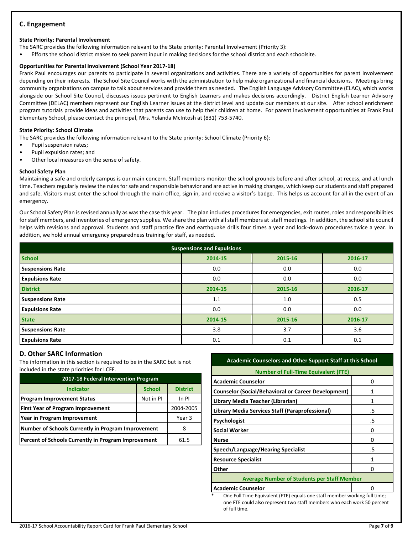## **C. Engagement**

### **State Priority: Parental Involvement**

The SARC provides the following information relevant to the State priority: Parental Involvement (Priority 3):

• Efforts the school district makes to seek parent input in making decisions for the school district and each schoolsite.

### **Opportunities for Parental Involvement (School Year 2017-18)**

Frank Paul encourages our parents to participate in several organizations and activities. There are a variety of opportunities for parent involvement depending on their interests. The School Site Council works with the administration to help make organizational and financial decisions. Meetings bring community organizations on campus to talk about services and provide them as needed. The English Language Advisory Committee (ELAC), which works alongside our School Site Council, discusses issues pertinent to English Learners and makes decisions accordingly. District English Learner Advisory Committee (DELAC) members represent our English Learner issues at the district level and update our members at our site. After school enrichment program tutorials provide ideas and activities that parents can use to help their children at home. For parent involvement opportunities at Frank Paul Elementary School, please contact the principal, Mrs. Yolanda McIntosh at (831) 753-5740.

### **State Priority: School Climate**

The SARC provides the following information relevant to the State priority: School Climate (Priority 6):

- Pupil suspension rates;
- Pupil expulsion rates; and
- Other local measures on the sense of safety.

### **School Safety Plan**

Maintaining a safe and orderly campus is our main concern. Staff members monitor the school grounds before and after school, at recess, and at lunch time. Teachers regularly review the rules for safe and responsible behavior and are active in making changes, which keep our students and staff prepared and safe. Visitors must enter the school through the main office, sign in, and receive a visitor's badge. This helps us account for all in the event of an emergency.

Our School Safety Plan is revised annually as was the case this year. The plan includes procedures for emergencies, exit routes, roles and responsibilities for staff members, and inventories of emergency supplies. We share the plan with all staff members at staff meetings. In addition, the school site council helps with revisions and approval. Students and staff practice fire and earthquake drills four times a year and lock-down procedures twice a year. In addition, we hold annual emergency preparedness training for staff, as needed.

| <b>Suspensions and Expulsions</b> |         |         |         |  |  |  |  |
|-----------------------------------|---------|---------|---------|--|--|--|--|
| <b>School</b>                     | 2014-15 | 2015-16 | 2016-17 |  |  |  |  |
| <b>Suspensions Rate</b>           | 0.0     | 0.0     | 0.0     |  |  |  |  |
| <b>Expulsions Rate</b>            | 0.0     | 0.0     | 0.0     |  |  |  |  |
| <b>District</b>                   | 2014-15 | 2015-16 | 2016-17 |  |  |  |  |
| <b>Suspensions Rate</b>           | 1.1     | 1.0     | 0.5     |  |  |  |  |
| <b>Expulsions Rate</b>            | 0.0     | 0.0     | 0.0     |  |  |  |  |
| <b>State</b>                      | 2014-15 | 2015-16 | 2016-17 |  |  |  |  |
| <b>Suspensions Rate</b>           | 3.8     | 3.7     | 3.6     |  |  |  |  |
| <b>Expulsions Rate</b>            | 0.1     | 0.1     | 0.1     |  |  |  |  |

## **D. Other SARC Information**

The information in this section is required to be in the SARC but is not included in the state priorities for LCFF.

| 2017-18 Federal Intervention Program                |               |                 |  |  |  |  |
|-----------------------------------------------------|---------------|-----------------|--|--|--|--|
| <b>Indicator</b>                                    | <b>School</b> | <b>District</b> |  |  |  |  |
| <b>Program Improvement Status</b>                   | Not in PI     | In PI           |  |  |  |  |
| <b>First Year of Program Improvement</b>            |               | 2004-2005       |  |  |  |  |
| Year in Program Improvement                         | Year 3        |                 |  |  |  |  |
| Number of Schools Currently in Program Improvement  | 8             |                 |  |  |  |  |
| Percent of Schools Currently in Program Improvement | 61.5          |                 |  |  |  |  |

## **Academic Counselors and Other Support Staff at this School**

| <b>Number of Full-Time Equivalent (FTE)</b>                |    |  |  |  |
|------------------------------------------------------------|----|--|--|--|
| <b>Academic Counselor</b>                                  | n  |  |  |  |
| <b>Counselor (Social/Behavioral or Career Development)</b> |    |  |  |  |
| Library Media Teacher (Librarian)                          | 1  |  |  |  |
| Library Media Services Staff (Paraprofessional)            | .5 |  |  |  |
| <b>Psychologist</b>                                        | .5 |  |  |  |
| <b>Social Worker</b>                                       | n  |  |  |  |
| Nurse                                                      | 0  |  |  |  |
| Speech/Language/Hearing Specialist                         | .5 |  |  |  |
| <b>Resource Specialist</b>                                 |    |  |  |  |
| Other                                                      |    |  |  |  |
| <b>Average Number of Students per Staff Member</b>         |    |  |  |  |
| <b>Academic Counselor</b>                                  |    |  |  |  |

One Full Time Equivalent (FTE) equals one staff member working full time; one FTE could also represent two staff members who each work 50 percent of full time.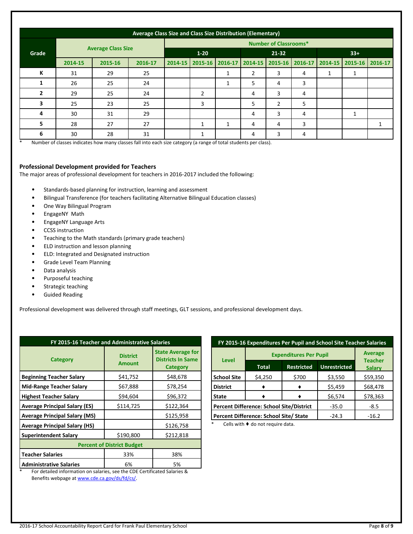|              | Average Class Size and Class Size Distribution (Elementary) |         |         |                              |              |                   |   |                         |   |         |                 |              |
|--------------|-------------------------------------------------------------|---------|---------|------------------------------|--------------|-------------------|---|-------------------------|---|---------|-----------------|--------------|
|              | <b>Average Class Size</b>                                   |         |         | <b>Number of Classrooms*</b> |              |                   |   |                         |   |         |                 |              |
| Grade        |                                                             |         |         | $1 - 20$                     |              | $21 - 32$         |   | $33+$                   |   |         |                 |              |
|              | 2014-15                                                     | 2015-16 | 2016-17 | 2014-15                      |              | 2015-16   2016-17 |   | 2014-15 2015-16 2016-17 |   | 2014-15 | 2015-16 2016-17 |              |
| К            | 31                                                          | 29      | 25      |                              |              | 1                 | 2 | 3                       | 4 | 1       |                 |              |
| 1            | 26                                                          | 25      | 24      |                              |              | 1                 | 5 | 4                       | 3 |         |                 |              |
| $\mathbf{2}$ | 29                                                          | 25      | 24      |                              | 2            |                   | 4 | 3                       | 4 |         |                 |              |
| 3            | 25                                                          | 23      | 25      |                              | 3            |                   | 5 | $\overline{2}$          | 5 |         |                 |              |
| 4            | 30                                                          | 31      | 29      |                              |              |                   | 4 | 3                       | 4 |         | 1               |              |
| 5            | 28                                                          | 27      | 27      |                              | $\mathbf{1}$ | 1                 | 4 | 4                       | 3 |         |                 | $\mathbf{1}$ |
| 6            | 30                                                          | 28      | 31      |                              | $\mathbf{1}$ |                   | 4 | 3                       | 4 |         |                 |              |

\* Number of classes indicates how many classes fall into each size category (a range of total students per class).

### **Professional Development provided for Teachers**

The major areas of professional development for teachers in 2016-2017 included the following:

- Standards-based planning for instruction, learning and assessment
- Bilingual Transference (for teachers facilitating Alternative Bilingual Education classes)
- One Way Bilingual Program
- EngageNY Math
- EngageNY Language Arts
- CCSS instruction
- Teaching to the Math standards (primary grade teachers)
- ELD instruction and lesson planning
- ELD: Integrated and Designated instruction
- Grade Level Team Planning
- Data analysis
- Purposeful teaching
- Strategic teaching
- Guided Reading

Professional development was delivered through staff meetings, GLT sessions, and professional development days.

| FY 2015-16 Teacher and Administrative Salaries |                                  |                                                                         |  |  |  |  |
|------------------------------------------------|----------------------------------|-------------------------------------------------------------------------|--|--|--|--|
| <b>Category</b>                                | <b>District</b><br><b>Amount</b> | <b>State Average for</b><br><b>Districts In Same</b><br><b>Category</b> |  |  |  |  |
| <b>Beginning Teacher Salary</b>                | \$41,752                         | \$48,678                                                                |  |  |  |  |
| <b>Mid-Range Teacher Salary</b>                | \$67,888                         | \$78,254                                                                |  |  |  |  |
| <b>Highest Teacher Salary</b>                  | \$94,604                         | \$96,372                                                                |  |  |  |  |
| <b>Average Principal Salary (ES)</b>           | \$114,725                        | \$122,364                                                               |  |  |  |  |
| <b>Average Principal Salary (MS)</b>           |                                  | \$125,958                                                               |  |  |  |  |
| <b>Average Principal Salary (HS)</b>           |                                  | \$126,758                                                               |  |  |  |  |
| <b>Superintendent Salary</b>                   | \$190,800                        | \$212,818                                                               |  |  |  |  |
| <b>Percent of District Budget</b>              |                                  |                                                                         |  |  |  |  |
| <b>Teacher Salaries</b>                        | 33%                              | 38%                                                                     |  |  |  |  |
| <b>Administrative Salaries</b>                 | 6%                               | 5%                                                                      |  |  |  |  |

**FY 2015-16 Expenditures Per Pupil and School Site Teacher Salaries Level Expenditures Per Pupil Average Teacher Total Restricted Unrestricted Salary School Site- District**  $$4,250$   $$700$   $$3,550$  \$59,350 **-**  $\bullet$   $\bullet$   $\bullet$  \$5,459 \$68,478  $\bullet$  **|**  $\bullet$  | \$6,574 | \$78,363 **Percent Difference: School Site/District** -35.0 -8.5 **Percent Difference: School Site/ State** -24.3 -16.2

Cells with  $\blacklozenge$  do not require data.

For detailed information on salaries, see the CDE Certificated Salaries & Benefits webpage a[t www.cde.ca.gov/ds/fd/cs/.](http://www.cde.ca.gov/ds/fd/cs/)